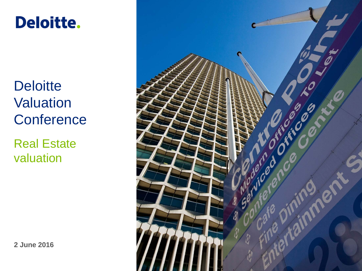# **Deloitte.**

**Deloitte Valuation Conference** 

Real Estate valuation

**2 June 2016**

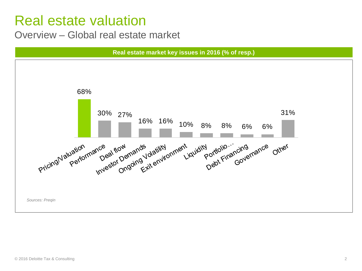#### Overview – Global real estate market

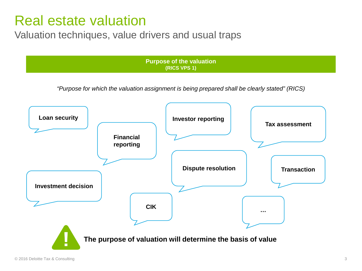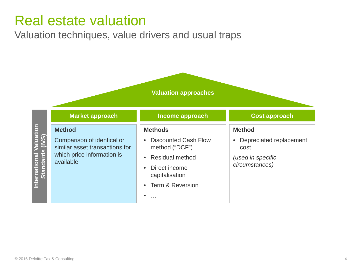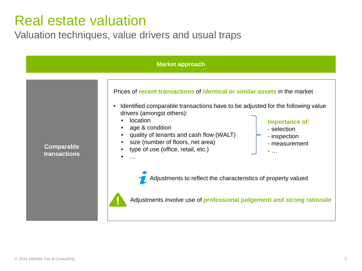|                                   | <b>Market approach</b>                                                                                                                                                                                                                                                                                                                                                                                                                                                                                                                                                                    |
|-----------------------------------|-------------------------------------------------------------------------------------------------------------------------------------------------------------------------------------------------------------------------------------------------------------------------------------------------------------------------------------------------------------------------------------------------------------------------------------------------------------------------------------------------------------------------------------------------------------------------------------------|
| <b>Comparable</b><br>transactions | Prices of recent transactions of identical or similar assets in the market<br>Identified comparable transactions have to be adjusted for the following value<br>drivers (amongst others):<br>location<br>Importance of:<br>age & condition<br>- selection<br>quality of tenants and cash flow (WALT)<br>- inspection<br>size (number of floors, net area)<br>- measurement<br>type of use (office, retail, etc.)<br>$\sim$<br>$\ddotsc$<br>Adjustments to reflect the characteristics of property valued<br>Adjustments involve use of <b>professional judgement and strong rationale</b> |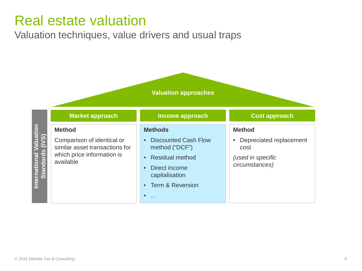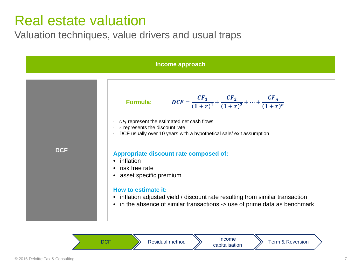

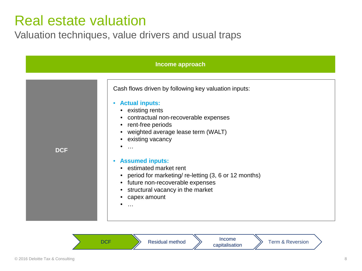| Income approach |                                                                                                                                                                                                                                                                                                                                                                                                                                                                                               |  |
|-----------------|-----------------------------------------------------------------------------------------------------------------------------------------------------------------------------------------------------------------------------------------------------------------------------------------------------------------------------------------------------------------------------------------------------------------------------------------------------------------------------------------------|--|
| <b>DCF</b>      | Cash flows driven by following key valuation inputs:<br><b>Actual inputs:</b><br>$\bullet$<br>• existing rents<br>• contractual non-recoverable expenses<br>• rent-free periods<br>• weighted average lease term (WALT)<br>• existing vacancy<br>$\ddotsc$<br><b>Assumed inputs:</b><br>$\bullet$<br>• estimated market rent<br>• period for marketing/re-letting (3, 6 or 12 months)<br>• future non-recoverable expenses<br>• structural vacancy in the market<br>capex amount<br>$\ddotsc$ |  |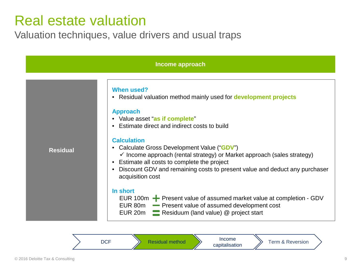| Income approach |                                                                                                                                                                                                                                                                                                                                                                                                                                                                                                                                                                                                                                                                                                       |  |  |
|-----------------|-------------------------------------------------------------------------------------------------------------------------------------------------------------------------------------------------------------------------------------------------------------------------------------------------------------------------------------------------------------------------------------------------------------------------------------------------------------------------------------------------------------------------------------------------------------------------------------------------------------------------------------------------------------------------------------------------------|--|--|
| <b>Residual</b> | <b>When used?</b><br>• Residual valuation method mainly used for development projects<br><b>Approach</b><br>• Value asset "as if complete"<br>• Estimate direct and indirect costs to build<br><b>Calculation</b><br>• Calculate Gross Development Value ("GDV")<br>$\checkmark$ Income approach (rental strategy) or Market approach (sales strategy)<br>Estimate all costs to complete the project<br>Discount GDV and remaining costs to present value and deduct any purchaser<br>acquisition cost<br>In short<br>EUR 100 $m -$ Present value of assumed market value at completion - GDV<br>EUR 80m - Present value of assumed development cost<br>EUR 20m Residuum (land value) @ project start |  |  |

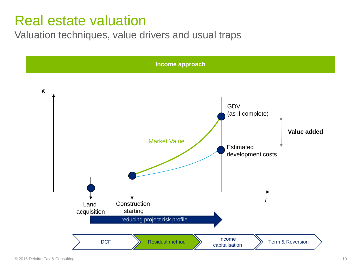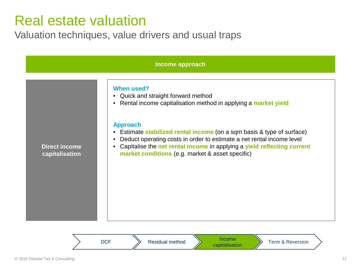| Income approach                        |                                                                                                                                                                                                                                                                                                                                                                                                                                                             |  |
|----------------------------------------|-------------------------------------------------------------------------------------------------------------------------------------------------------------------------------------------------------------------------------------------------------------------------------------------------------------------------------------------------------------------------------------------------------------------------------------------------------------|--|
| <b>Direct income</b><br>capitalisation | When used?<br>Quick and straight forward method<br>Rental income capitalisation method in applying a market yield<br><b>Approach</b><br>Estimate stabilized rental income (on a sqm basis & type of surface)<br>$\bullet$<br>Deduct operating costs in order to estimate a net rental income level<br>$\bullet$<br>Capitalise the net rental income in applying a yield reflecting current<br>$\bullet$<br>market conditions (e.g. market & asset specific) |  |
|                                        |                                                                                                                                                                                                                                                                                                                                                                                                                                                             |  |

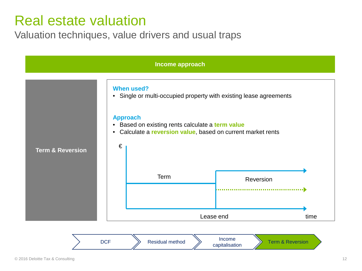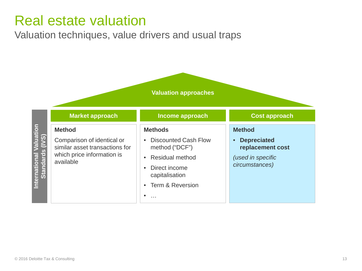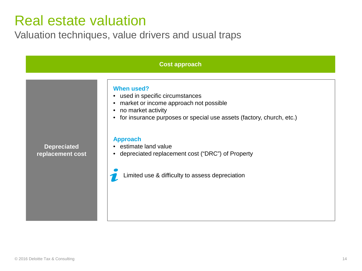| <b>Cost approach</b>                   |                                                                                                                                                                                                                                                                                                                                                                                           |  |
|----------------------------------------|-------------------------------------------------------------------------------------------------------------------------------------------------------------------------------------------------------------------------------------------------------------------------------------------------------------------------------------------------------------------------------------------|--|
| <b>Depreciated</b><br>replacement cost | <b>When used?</b><br>• used in specific circumstances<br>market or income approach not possible<br>$\bullet$<br>• no market activity<br>for insurance purposes or special use assets (factory, church, etc.)<br>$\bullet$<br><b>Approach</b><br>• estimate land value<br>depreciated replacement cost ("DRC") of Property<br>$\bullet$<br>Limited use & difficulty to assess depreciation |  |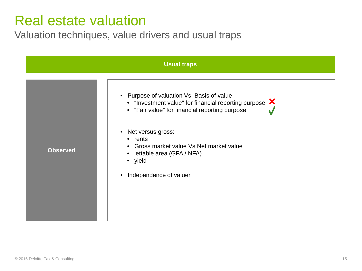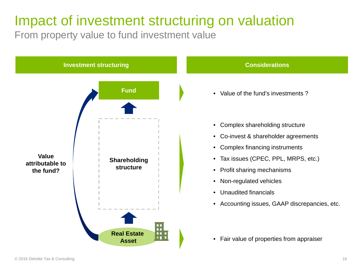## Impact of investment structuring on valuation

From property value to fund investment value

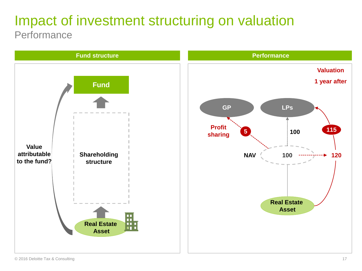### Impact of investment structuring on valuation **Performance**

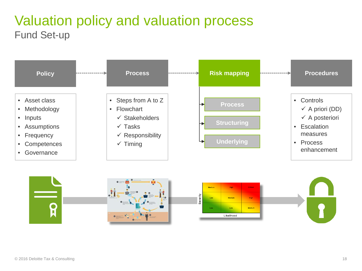### Valuation policy and valuation process Fund Set-up



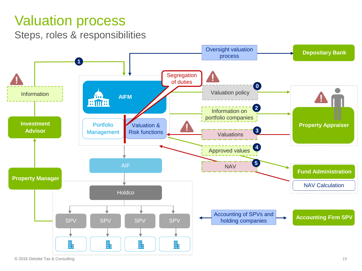### Valuation process

Steps, roles & responsibilities

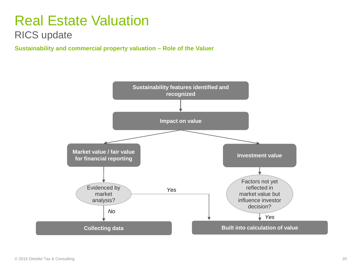#### RICS update

**Sustainability and commercial property valuation – Role of the Valuer**

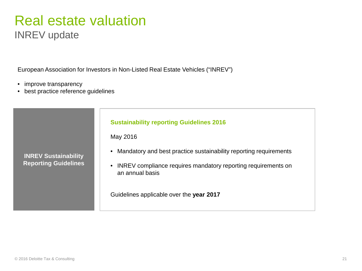### Real estate valuation INREV update

European Association for Investors in Non-Listed Real Estate Vehicles ("INREV")

- improve transparency
- best practice reference guidelines

![](_page_20_Figure_4.jpeg)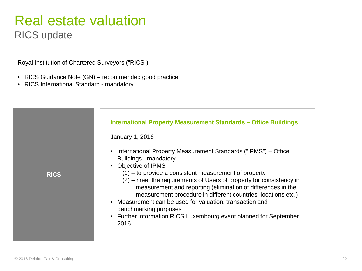RICS update

Royal Institution of Chartered Surveyors ("RICS")

- RICS Guidance Note (GN) recommended good practice
- RICS International Standard mandatory

![](_page_21_Figure_5.jpeg)